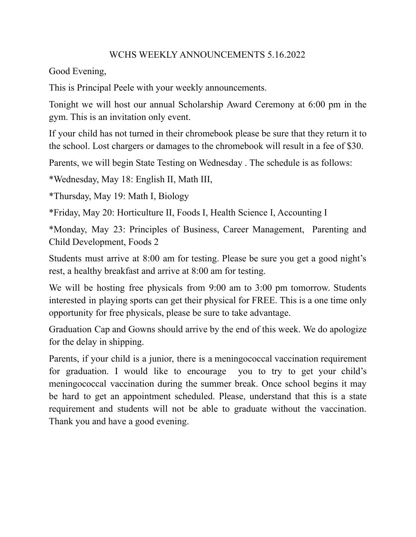## WCHS WEEKLY ANNOUNCEMENTS 5.16.2022

Good Evening,

This is Principal Peele with your weekly announcements.

Tonight we will host our annual Scholarship Award Ceremony at 6:00 pm in the gym. This is an invitation only event.

If your child has not turned in their chromebook please be sure that they return it to the school. Lost chargers or damages to the chromebook will result in a fee of \$30.

Parents, we will begin State Testing on Wednesday . The schedule is as follows:

\*Wednesday, May 18: English II, Math III,

\*Thursday, May 19: Math I, Biology

\*Friday, May 20: Horticulture II, Foods I, Health Science I, Accounting I

\*Monday, May 23: Principles of Business, Career Management, Parenting and Child Development, Foods 2

Students must arrive at 8:00 am for testing. Please be sure you get a good night's rest, a healthy breakfast and arrive at 8:00 am for testing.

We will be hosting free physicals from 9:00 am to 3:00 pm tomorrow. Students interested in playing sports can get their physical for FREE. This is a one time only opportunity for free physicals, please be sure to take advantage.

Graduation Cap and Gowns should arrive by the end of this week. We do apologize for the delay in shipping.

Parents, if your child is a junior, there is a meningococcal vaccination requirement for graduation. I would like to encourage you to try to get your child's meningococcal vaccination during the summer break. Once school begins it may be hard to get an appointment scheduled. Please, understand that this is a state requirement and students will not be able to graduate without the vaccination. Thank you and have a good evening.